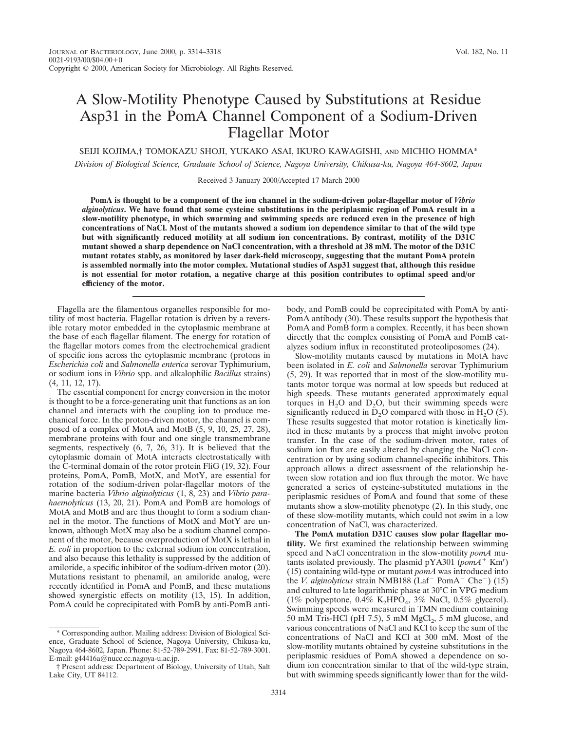## A Slow-Motility Phenotype Caused by Substitutions at Residue Asp31 in the PomA Channel Component of a Sodium-Driven Flagellar Motor

SEIJI KOJIMA,† TOMOKAZU SHOJI, YUKAKO ASAI, IKURO KAWAGISHI, AND MICHIO HOMMA\*

*Division of Biological Science, Graduate School of Science, Nagoya University, Chikusa-ku, Nagoya 464-8602, Japan*

Received 3 January 2000/Accepted 17 March 2000

**PomA is thought to be a component of the ion channel in the sodium-driven polar-flagellar motor of** *Vibrio alginolyticus***. We have found that some cysteine substitutions in the periplasmic region of PomA result in a slow-motility phenotype, in which swarming and swimming speeds are reduced even in the presence of high concentrations of NaCl. Most of the mutants showed a sodium ion dependence similar to that of the wild type but with significantly reduced motility at all sodium ion concentrations. By contrast, motility of the D31C mutant showed a sharp dependence on NaCl concentration, with a threshold at 38 mM. The motor of the D31C mutant rotates stably, as monitored by laser dark-field microscopy, suggesting that the mutant PomA protein is assembled normally into the motor complex. Mutational studies of Asp31 suggest that, although this residue is not essential for motor rotation, a negative charge at this position contributes to optimal speed and/or efficiency of the motor.**

Flagella are the filamentous organelles responsible for motility of most bacteria. Flagellar rotation is driven by a reversible rotary motor embedded in the cytoplasmic membrane at the base of each flagellar filament. The energy for rotation of the flagellar motors comes from the electrochemical gradient of specific ions across the cytoplasmic membrane (protons in *Escherichia coli* and *Salmonella enterica* serovar Typhimurium, or sodium ions in *Vibrio* spp. and alkalophilic *Bacillus* strains) (4, 11, 12, 17).

The essential component for energy conversion in the motor is thought to be a force-generating unit that functions as an ion channel and interacts with the coupling ion to produce mechanical force. In the proton-driven motor, the channel is composed of a complex of MotA and MotB (5, 9, 10, 25, 27, 28), membrane proteins with four and one single transmembrane segments, respectively (6, 7, 26, 31). It is believed that the cytoplasmic domain of MotA interacts electrostatically with the C-terminal domain of the rotor protein FliG (19, 32). Four proteins, PomA, PomB, MotX, and MotY, are essential for rotation of the sodium-driven polar-flagellar motors of the marine bacteria *Vibrio alginolyticus* (1, 8, 23) and *Vibrio parahaemolyticus* (13, 20, 21). PomA and PomB are homologs of MotA and MotB and are thus thought to form a sodium channel in the motor. The functions of MotX and MotY are unknown, although MotX may also be a sodium channel component of the motor, because overproduction of MotX is lethal in *E. coli* in proportion to the external sodium ion concentration, and also because this lethality is suppressed by the addition of amiloride, a specific inhibitor of the sodium-driven motor (20). Mutations resistant to phenamil, an amiloride analog, were recently identified in PomA and PomB, and these mutations showed synergistic effects on motility (13, 15). In addition, PomA could be coprecipitated with PomB by anti-PomB antibody, and PomB could be coprecipitated with PomA by anti-PomA antibody (30). These results support the hypothesis that PomA and PomB form a complex. Recently, it has been shown directly that the complex consisting of PomA and PomB catalyzes sodium influx in reconstituted proteoliposomes (24).

Slow-motility mutants caused by mutations in MotA have been isolated in *E. coli* and *Salmonella* serovar Typhimurium (5, 29). It was reported that in most of the slow-motility mutants motor torque was normal at low speeds but reduced at high speeds. These mutants generated approximately equal torques in  $H_2O$  and  $D_2O$ , but their swimming speeds were significantly reduced in  $D_2O$  compared with those in  $H_2O$  (5). These results suggested that motor rotation is kinetically limited in these mutants by a process that might involve proton transfer. In the case of the sodium-driven motor, rates of sodium ion flux are easily altered by changing the NaCl concentration or by using sodium channel-specific inhibitors. This approach allows a direct assessment of the relationship between slow rotation and ion flux through the motor. We have generated a series of cysteine-substituted mutations in the periplasmic residues of PomA and found that some of these mutants show a slow-motility phenotype (2). In this study, one of these slow-motility mutants, which could not swim in a low concentration of NaCl, was characterized.

**The PomA mutation D31C causes slow polar flagellar motility.** We first examined the relationship between swimming speed and NaCl concentration in the slow-motility *pomA* mutants isolated previously. The plasmid pYA301 ( $\overrightarrow{pomA}^+$  Km<sup>r</sup>) (15) containing wild-type or mutant *pomA* was introduced into the *V. alginolyticus* strain NMB188 (Laf<sup>-</sup> PomA<sup>-</sup> Che<sup>-</sup>) (15) and cultured to late logarithmic phase at 30°C in VPG medium (1% polypeptone,  $0.4\%$  K<sub>2</sub>HPO<sub>4</sub>, 3% NaCl, 0.5% glycerol). Swimming speeds were measured in TMN medium containing 50 mM Tris-HCl (pH 7.5), 5 mM  $MgCl<sub>2</sub>$ , 5 mM glucose, and various concentrations of NaCl and KCl to keep the sum of the concentrations of NaCl and KCl at 300 mM. Most of the slow-motility mutants obtained by cysteine substitutions in the periplasmic residues of PomA showed a dependence on sodium ion concentration similar to that of the wild-type strain, but with swimming speeds significantly lower than for the wild-

<sup>\*</sup> Corresponding author. Mailing address: Division of Biological Science, Graduate School of Science, Nagoya University, Chikusa-ku, Nagoya 464-8602, Japan. Phone: 81-52-789-2991. Fax: 81-52-789-3001. E-mail: g44416a@nucc.cc.nagoya-u.ac.jp.

<sup>†</sup> Present address: Department of Biology, University of Utah, Salt Lake City, UT 84112.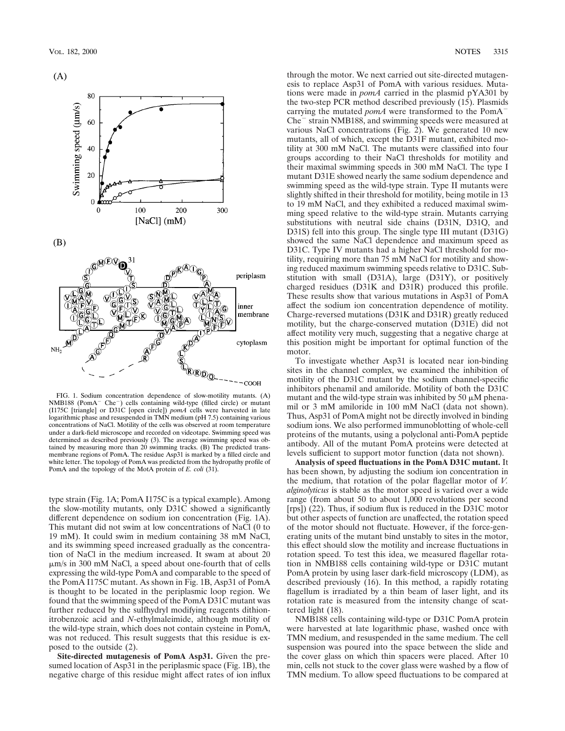



 $(B)$ 



FIG. 1. Sodium concentration dependence of slow-motility mutants. (A) NMB188 (PomA<sup>-</sup> Che<sup>-</sup>) cells containing wild-type (filled circle) or mutant (I175C [triangle] or D31C [open circle]) *pomA* cells were harvested in late logarithmic phase and resuspended in TMN medium (pH 7.5) containing various concentrations of NaCl. Motility of the cells was observed at room temperature under a dark-field microscope and recorded on videotape. Swimming speed was determined as described previously (3). The average swimming speed was obtained by measuring more than 20 swimming tracks. (B) The predicted transmembrane regions of PomA. The residue Asp31 is marked by a filled circle and white letter. The topology of PomA was predicted from the hydropathy profile of PomA and the topology of the MotA protein of *E. coli* (31).

type strain (Fig. 1A; PomA I175C is a typical example). Among the slow-motility mutants, only D31C showed a significantly different dependence on sodium ion concentration (Fig. 1A). This mutant did not swim at low concentrations of NaCl (0 to 19 mM). It could swim in medium containing 38 mM NaCl, and its swimming speed increased gradually as the concentration of NaCl in the medium increased. It swam at about 20 mm/s in 300 mM NaCl, a speed about one-fourth that of cells expressing the wild-type PomA and comparable to the speed of the PomA I175C mutant. As shown in Fig. 1B, Asp31 of PomA is thought to be located in the periplasmic loop region. We found that the swimming speed of the PomA D31C mutant was further reduced by the sulfhydryl modifying reagents dithionitrobenzoic acid and *N*-ethylmaleimide, although motility of the wild-type strain, which does not contain cysteine in PomA, was not reduced. This result suggests that this residue is exposed to the outside (2).

**Site-directed mutagenesis of PomA Asp31.** Given the presumed location of Asp31 in the periplasmic space (Fig. 1B), the negative charge of this residue might affect rates of ion influx through the motor. We next carried out site-directed mutagenesis to replace Asp31 of PomA with various residues. Mutations were made in *pomA* carried in the plasmid pYA301 by the two-step PCR method described previously (15). Plasmids carrying the mutated *pomA* were transformed to the PomA<sup>-</sup>  $Che^-$  strain NMB188, and swimming speeds were measured at various NaCl concentrations (Fig. 2). We generated 10 new mutants, all of which, except the D31F mutant, exhibited motility at 300 mM NaCl. The mutants were classified into four groups according to their NaCl thresholds for motility and their maximal swimming speeds in 300 mM NaCl. The type I mutant D31E showed nearly the same sodium dependence and swimming speed as the wild-type strain. Type II mutants were slightly shifted in their threshold for motility, being motile in 13 to 19 mM NaCl, and they exhibited a reduced maximal swimming speed relative to the wild-type strain. Mutants carrying substitutions with neutral side chains (D31N, D31Q, and D31S) fell into this group. The single type III mutant (D31G) showed the same NaCl dependence and maximum speed as D31C. Type IV mutants had a higher NaCl threshold for motility, requiring more than 75 mM NaCl for motility and showing reduced maximum swimming speeds relative to D31C. Substitution with small (D31A), large (D31Y), or positively charged residues (D31K and D31R) produced this profile. These results show that various mutations in Asp31 of PomA affect the sodium ion concentration dependence of motility. Charge-reversed mutations (D31K and D31R) greatly reduced motility, but the charge-conserved mutation (D31E) did not affect motility very much, suggesting that a negative charge at this position might be important for optimal function of the motor.

To investigate whether Asp31 is located near ion-binding sites in the channel complex, we examined the inhibition of motility of the D31C mutant by the sodium channel-specific inhibitors phenamil and amiloride. Motility of both the D31C mutant and the wild-type strain was inhibited by 50  $\mu$ M phenamil or 3 mM amiloride in 100 mM NaCl (data not shown). Thus, Asp31 of PomA might not be directly involved in binding sodium ions. We also performed immunoblotting of whole-cell proteins of the mutants, using a polyclonal anti-PomA peptide antibody. All of the mutant PomA proteins were detected at levels sufficient to support motor function (data not shown).

**Analysis of speed fluctuations in the PomA D31C mutant.** It has been shown, by adjusting the sodium ion concentration in the medium, that rotation of the polar flagellar motor of *V. alginolyticus* is stable as the motor speed is varied over a wide range (from about 50 to about 1,000 revolutions per second [rps]) (22). Thus, if sodium flux is reduced in the D31C motor but other aspects of function are unaffected, the rotation speed of the motor should not fluctuate. However, if the force-generating units of the mutant bind unstably to sites in the motor, this effect should slow the motility and increase fluctuations in rotation speed. To test this idea, we measured flagellar rotation in NMB188 cells containing wild-type or D31C mutant PomA protein by using laser dark-field microscopy (LDM), as described previously (16). In this method, a rapidly rotating flagellum is irradiated by a thin beam of laser light, and its rotation rate is measured from the intensity change of scattered light (18).

NMB188 cells containing wild-type or D31C PomA protein were harvested at late logarithmic phase, washed once with TMN medium, and resuspended in the same medium. The cell suspension was poured into the space between the slide and the cover glass on which thin spacers were placed. After 10 min, cells not stuck to the cover glass were washed by a flow of TMN medium. To allow speed fluctuations to be compared at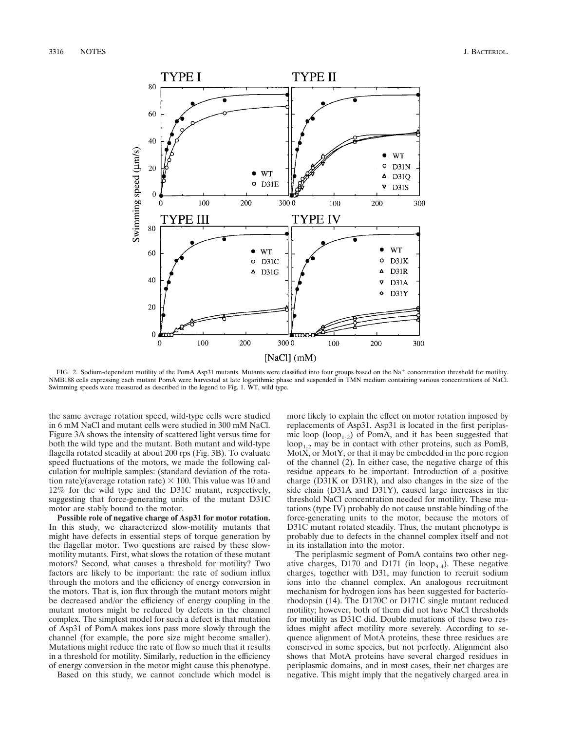3316 NOTES J. BACTERIOL.



FIG. 2. Sodium-dependent motility of the PomA Asp31 mutants. Mutants were classified into four groups based on the Na<sup>+</sup> concentration threshold for motility. NMB188 cells expressing each mutant PomA were harvested at late logarithmic phase and suspended in TMN medium containing various concentrations of NaCl. Swimming speeds were measured as described in the legend to Fig. 1. WT, wild type.

the same average rotation speed, wild-type cells were studied in 6 mM NaCl and mutant cells were studied in 300 mM NaCl. Figure 3A shows the intensity of scattered light versus time for both the wild type and the mutant. Both mutant and wild-type flagella rotated steadily at about 200 rps (Fig. 3B). To evaluate speed fluctuations of the motors, we made the following calculation for multiple samples: (standard deviation of the rotation rate)/(average rotation rate)  $\times$  100. This value was 10 and 12% for the wild type and the D31C mutant, respectively, suggesting that force-generating units of the mutant D31C motor are stably bound to the motor.

**Possible role of negative charge of Asp31 for motor rotation.** In this study, we characterized slow-motility mutants that might have defects in essential steps of torque generation by the flagellar motor. Two questions are raised by these slowmotility mutants. First, what slows the rotation of these mutant motors? Second, what causes a threshold for motility? Two factors are likely to be important: the rate of sodium influx through the motors and the efficiency of energy conversion in the motors. That is, ion flux through the mutant motors might be decreased and/or the efficiency of energy coupling in the mutant motors might be reduced by defects in the channel complex. The simplest model for such a defect is that mutation of Asp31 of PomA makes ions pass more slowly through the channel (for example, the pore size might become smaller). Mutations might reduce the rate of flow so much that it results in a threshold for motility. Similarly, reduction in the efficiency of energy conversion in the motor might cause this phenotype.

Based on this study, we cannot conclude which model is

more likely to explain the effect on motor rotation imposed by replacements of Asp31. Asp31 is located in the first periplasmic loop  $(log_{1-2})$  of PomA, and it has been suggested that  $loop_{1-2}$  may be in contact with other proteins, such as PomB, MotX, or MotY, or that it may be embedded in the pore region of the channel (2). In either case, the negative charge of this residue appears to be important. Introduction of a positive charge (D31K or D31R), and also changes in the size of the side chain (D31A and D31Y), caused large increases in the threshold NaCl concentration needed for motility. These mutations (type IV) probably do not cause unstable binding of the force-generating units to the motor, because the motors of D31C mutant rotated steadily. Thus, the mutant phenotype is probably due to defects in the channel complex itself and not in its installation into the motor.

The periplasmic segment of PomA contains two other negative charges, D170 and D171 (in  $loop_{3-4}$ ). These negative charges, together with D31, may function to recruit sodium ions into the channel complex. An analogous recruitment mechanism for hydrogen ions has been suggested for bacteriorhodopsin (14). The D170C or D171C single mutant reduced motility; however, both of them did not have NaCl thresholds for motility as D31C did. Double mutations of these two residues might affect motility more severely. According to sequence alignment of MotA proteins, these three residues are conserved in some species, but not perfectly. Alignment also shows that MotA proteins have several charged residues in periplasmic domains, and in most cases, their net charges are negative. This might imply that the negatively charged area in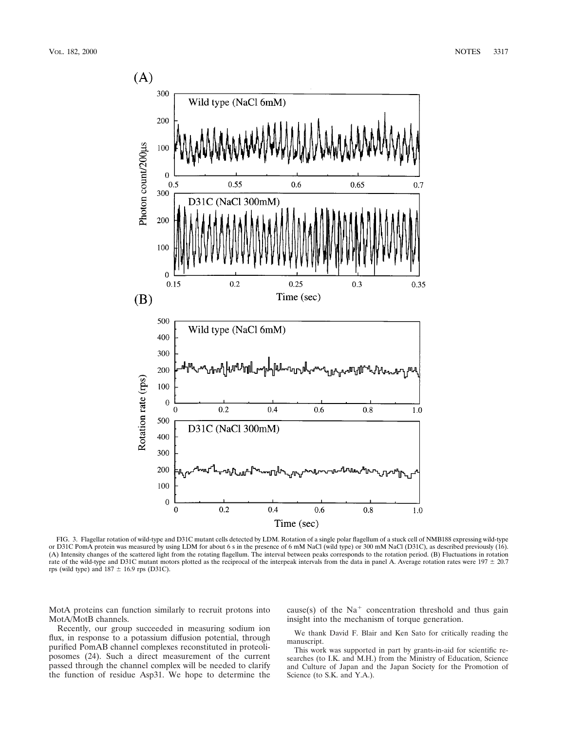

FIG. 3. Flagellar rotation of wild-type and D31C mutant cells detected by LDM. Rotation of a single polar flagellum of a stuck cell of NMB188 expressing wild-type or D31C PomA protein was measured by using LDM for about 6 s in the presence of 6 mM NaCl (wild type) or 300 mM NaCl (D31C), as described previously (16). (A) Intensity changes of the scattered light from the rotating flagellum. The interval between peaks corresponds to the rotation period. (B) Fluctuations in rotation rate of the wild-type and D31C mutant motors plotted as the reciprocal of the interpeak intervals from the data in panel A. Average rotation rates were  $197 \pm 20.7$ rps (wild type) and  $187 \pm 16.9$  rps (D31C).

MotA proteins can function similarly to recruit protons into MotA/MotB channels.

Recently, our group succeeded in measuring sodium ion flux, in response to a potassium diffusion potential, through purified PomAB channel complexes reconstituted in proteoliposomes (24). Such a direct measurement of the current passed through the channel complex will be needed to clarify the function of residue Asp31. We hope to determine the cause(s) of the  $Na<sup>+</sup>$  concentration threshold and thus gain insight into the mechanism of torque generation.

We thank David F. Blair and Ken Sato for critically reading the manuscript.

This work was supported in part by grants-in-aid for scientific researches (to I.K. and M.H.) from the Ministry of Education, Science and Culture of Japan and the Japan Society for the Promotion of Science (to S.K. and Y.A.).